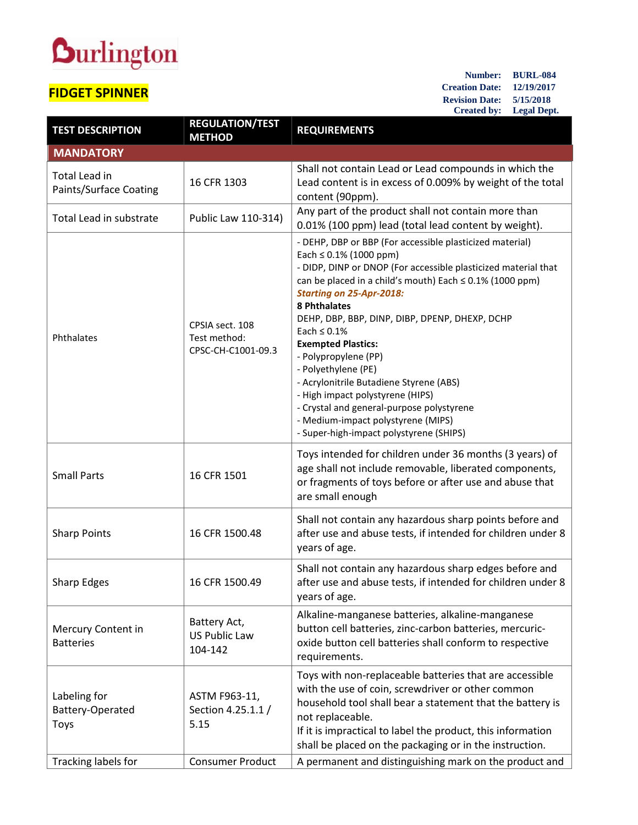## **Durlington**

## **FIDGET SPINNER**

**Number: BURL-084 Creation Date: 12/19/2017 Revision Date: 5/15/2018 Created by: Legal Dept.**

| <b>TEST DESCRIPTION</b>                        | <b>REGULATION/TEST</b><br><b>METHOD</b>               | <b>REQUIREMENTS</b>                                                                                                                                                                                                                                                                                                                                                                                                                                                                                                                                                                                                                            |  |  |
|------------------------------------------------|-------------------------------------------------------|------------------------------------------------------------------------------------------------------------------------------------------------------------------------------------------------------------------------------------------------------------------------------------------------------------------------------------------------------------------------------------------------------------------------------------------------------------------------------------------------------------------------------------------------------------------------------------------------------------------------------------------------|--|--|
| <b>MANDATORY</b>                               |                                                       |                                                                                                                                                                                                                                                                                                                                                                                                                                                                                                                                                                                                                                                |  |  |
| <b>Total Lead in</b><br>Paints/Surface Coating | 16 CFR 1303                                           | Shall not contain Lead or Lead compounds in which the<br>Lead content is in excess of 0.009% by weight of the total<br>content (90ppm).                                                                                                                                                                                                                                                                                                                                                                                                                                                                                                        |  |  |
| Total Lead in substrate                        | Public Law 110-314)                                   | Any part of the product shall not contain more than<br>0.01% (100 ppm) lead (total lead content by weight).                                                                                                                                                                                                                                                                                                                                                                                                                                                                                                                                    |  |  |
| Phthalates                                     | CPSIA sect. 108<br>Test method:<br>CPSC-CH-C1001-09.3 | - DEHP, DBP or BBP (For accessible plasticized material)<br>Each $\leq 0.1\%$ (1000 ppm)<br>- DIDP, DINP or DNOP (For accessible plasticized material that<br>can be placed in a child's mouth) Each $\leq$ 0.1% (1000 ppm)<br><b>Starting on 25-Apr-2018:</b><br>8 Phthalates<br>DEHP, DBP, BBP, DINP, DIBP, DPENP, DHEXP, DCHP<br>Each $\leq 0.1\%$<br><b>Exempted Plastics:</b><br>- Polypropylene (PP)<br>- Polyethylene (PE)<br>- Acrylonitrile Butadiene Styrene (ABS)<br>- High impact polystyrene (HIPS)<br>- Crystal and general-purpose polystyrene<br>- Medium-impact polystyrene (MIPS)<br>- Super-high-impact polystyrene (SHIPS) |  |  |
| <b>Small Parts</b>                             | 16 CFR 1501                                           | Toys intended for children under 36 months (3 years) of<br>age shall not include removable, liberated components,<br>or fragments of toys before or after use and abuse that<br>are small enough                                                                                                                                                                                                                                                                                                                                                                                                                                               |  |  |
| <b>Sharp Points</b>                            | 16 CFR 1500.48                                        | Shall not contain any hazardous sharp points before and<br>after use and abuse tests, if intended for children under 8<br>years of age.                                                                                                                                                                                                                                                                                                                                                                                                                                                                                                        |  |  |
| <b>Sharp Edges</b>                             | 16 CFR 1500.49                                        | Shall not contain any hazardous sharp edges before and<br>after use and abuse tests, if intended for children under 8<br>years of age.                                                                                                                                                                                                                                                                                                                                                                                                                                                                                                         |  |  |
| Mercury Content in<br><b>Batteries</b>         | Battery Act,<br><b>US Public Law</b><br>104-142       | Alkaline-manganese batteries, alkaline-manganese<br>button cell batteries, zinc-carbon batteries, mercuric-<br>oxide button cell batteries shall conform to respective<br>requirements.                                                                                                                                                                                                                                                                                                                                                                                                                                                        |  |  |
| Labeling for<br>Battery-Operated<br>Toys       | ASTM F963-11,<br>Section 4.25.1.1 /<br>5.15           | Toys with non-replaceable batteries that are accessible<br>with the use of coin, screwdriver or other common<br>household tool shall bear a statement that the battery is<br>not replaceable.<br>If it is impractical to label the product, this information<br>shall be placed on the packaging or in the instruction.                                                                                                                                                                                                                                                                                                                        |  |  |
| Tracking labels for                            | <b>Consumer Product</b>                               | A permanent and distinguishing mark on the product and                                                                                                                                                                                                                                                                                                                                                                                                                                                                                                                                                                                         |  |  |